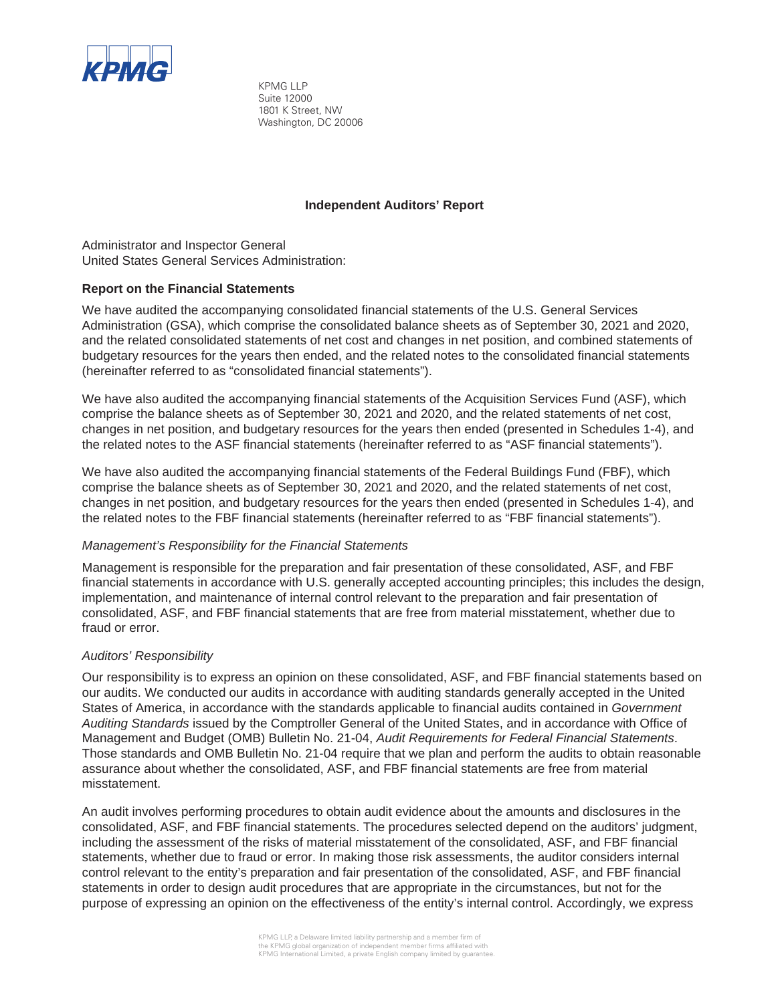

KPMG LLP Suite 12000 1801 K Street, NW Washington, DC 20006

### **Independent Auditors' Report**

Administrator and Inspector General United States General Services Administration:

### **Report on the Financial Statements**

We have audited the accompanying consolidated financial statements of the U.S. General Services Administration (GSA), which comprise the consolidated balance sheets as of September 30, 2021 and 2020, and the related consolidated statements of net cost and changes in net position, and combined statements of budgetary resources for the years then ended, and the related notes to the consolidated financial statements (hereinafter referred to as "consolidated financial statements").

We have also audited the accompanying financial statements of the Acquisition Services Fund (ASF), which comprise the balance sheets as of September 30, 2021 and 2020, and the related statements of net cost, changes in net position, and budgetary resources for the years then ended (presented in Schedules 1-4), and the related notes to the ASF financial statements (hereinafter referred to as "ASF financial statements").

We have also audited the accompanying financial statements of the Federal Buildings Fund (FBF), which comprise the balance sheets as of September 30, 2021 and 2020, and the related statements of net cost, changes in net position, and budgetary resources for the years then ended (presented in Schedules 1-4), and the related notes to the FBF financial statements (hereinafter referred to as "FBF financial statements").

#### *Management's Responsibility for the Financial Statements*

Management is responsible for the preparation and fair presentation of these consolidated, ASF, and FBF financial statements in accordance with U.S. generally accepted accounting principles; this includes the design, implementation, and maintenance of internal control relevant to the preparation and fair presentation of consolidated, ASF, and FBF financial statements that are free from material misstatement, whether due to fraud or error.

#### *Auditors' Responsibility*

Our responsibility is to express an opinion on these consolidated, ASF, and FBF financial statements based on our audits. We conducted our audits in accordance with auditing standards generally accepted in the United States of America, in accordance with the standards applicable to financial audits contained in *Government Auditing Standards* issued by the Comptroller General of the United States, and in accordance with Office of Management and Budget (OMB) Bulletin No. 21-04, *Audit Requirements for Federal Financial Statements*. Those standards and OMB Bulletin No. 21-04 require that we plan and perform the audits to obtain reasonable assurance about whether the consolidated, ASF, and FBF financial statements are free from material misstatement.

An audit involves performing procedures to obtain audit evidence about the amounts and disclosures in the consolidated, ASF, and FBF financial statements. The procedures selected depend on the auditors' judgment, including the assessment of the risks of material misstatement of the consolidated, ASF, and FBF financial statements, whether due to fraud or error. In making those risk assessments, the auditor considers internal control relevant to the entity's preparation and fair presentation of the consolidated, ASF, and FBF financial statements in order to design audit procedures that are appropriate in the circumstances, but not for the purpose of expressing an opinion on the effectiveness of the entity's internal control. Accordingly, we express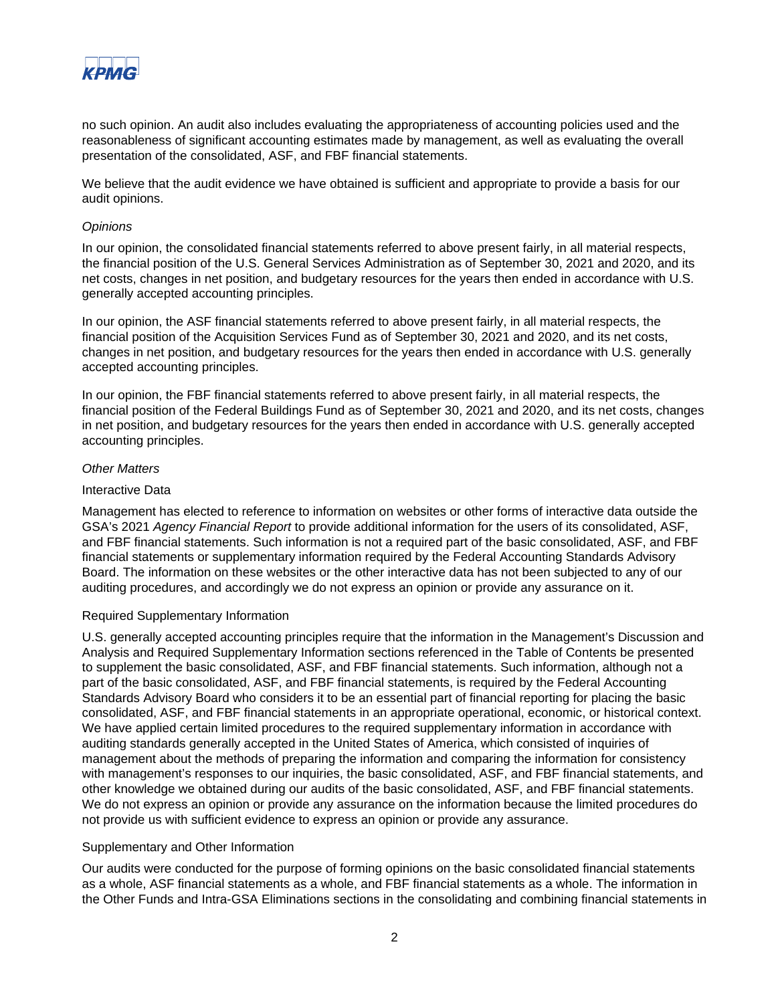

no such opinion. An audit also includes evaluating the appropriateness of accounting policies used and the reasonableness of significant accounting estimates made by management, as well as evaluating the overall presentation of the consolidated, ASF, and FBF financial statements.

We believe that the audit evidence we have obtained is sufficient and appropriate to provide a basis for our audit opinions.

#### *Opinions*

In our opinion, the consolidated financial statements referred to above present fairly, in all material respects, the financial position of the U.S. General Services Administration as of September 30, 2021 and 2020, and its net costs, changes in net position, and budgetary resources for the years then ended in accordance with U.S. generally accepted accounting principles.

In our opinion, the ASF financial statements referred to above present fairly, in all material respects, the financial position of the Acquisition Services Fund as of September 30, 2021 and 2020, and its net costs, changes in net position, and budgetary resources for the years then ended in accordance with U.S. generally accepted accounting principles.

In our opinion, the FBF financial statements referred to above present fairly, in all material respects, the financial position of the Federal Buildings Fund as of September 30, 2021 and 2020, and its net costs, changes in net position, and budgetary resources for the years then ended in accordance with U.S. generally accepted accounting principles.

#### *Other Matters*

#### Interactive Data

Management has elected to reference to information on websites or other forms of interactive data outside the GSA's 2021 *Agency Financial Report* to provide additional information for the users of its consolidated, ASF, and FBF financial statements. Such information is not a required part of the basic consolidated, ASF, and FBF financial statements or supplementary information required by the Federal Accounting Standards Advisory Board. The information on these websites or the other interactive data has not been subjected to any of our auditing procedures, and accordingly we do not express an opinion or provide any assurance on it.

#### Required Supplementary Information

U.S. generally accepted accounting principles require that the information in the Management's Discussion and Analysis and Required Supplementary Information sections referenced in the Table of Contents be presented to supplement the basic consolidated, ASF, and FBF financial statements. Such information, although not a part of the basic consolidated, ASF, and FBF financial statements, is required by the Federal Accounting Standards Advisory Board who considers it to be an essential part of financial reporting for placing the basic consolidated, ASF, and FBF financial statements in an appropriate operational, economic, or historical context. We have applied certain limited procedures to the required supplementary information in accordance with auditing standards generally accepted in the United States of America, which consisted of inquiries of management about the methods of preparing the information and comparing the information for consistency with management's responses to our inquiries, the basic consolidated, ASF, and FBF financial statements, and other knowledge we obtained during our audits of the basic consolidated, ASF, and FBF financial statements. We do not express an opinion or provide any assurance on the information because the limited procedures do not provide us with sufficient evidence to express an opinion or provide any assurance.

#### Supplementary and Other Information

Our audits were conducted for the purpose of forming opinions on the basic consolidated financial statements as a whole, ASF financial statements as a whole, and FBF financial statements as a whole. The information in the Other Funds and Intra-GSA Eliminations sections in the consolidating and combining financial statements in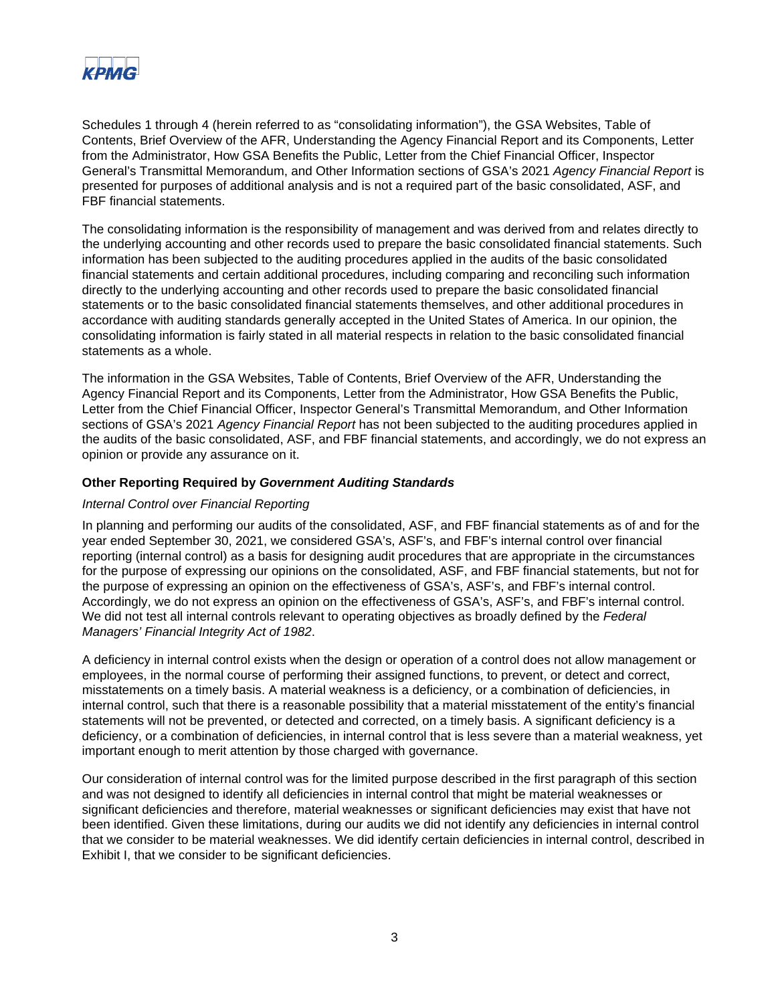

Schedules 1 through 4 (herein referred to as "consolidating information"), the GSA Websites, Table of Contents, Brief Overview of the AFR, Understanding the Agency Financial Report and its Components, Letter from the Administrator, How GSA Benefits the Public, Letter from the Chief Financial Officer, Inspector General's Transmittal Memorandum, and Other Information sections of GSA's 2021 *Agency Financial Report* is presented for purposes of additional analysis and is not a required part of the basic consolidated, ASF, and FBF financial statements.

The consolidating information is the responsibility of management and was derived from and relates directly to the underlying accounting and other records used to prepare the basic consolidated financial statements. Such information has been subjected to the auditing procedures applied in the audits of the basic consolidated financial statements and certain additional procedures, including comparing and reconciling such information directly to the underlying accounting and other records used to prepare the basic consolidated financial statements or to the basic consolidated financial statements themselves, and other additional procedures in accordance with auditing standards generally accepted in the United States of America. In our opinion, the consolidating information is fairly stated in all material respects in relation to the basic consolidated financial statements as a whole.

The information in the GSA Websites, Table of Contents, Brief Overview of the AFR, Understanding the Agency Financial Report and its Components, Letter from the Administrator, How GSA Benefits the Public, Letter from the Chief Financial Officer, Inspector General's Transmittal Memorandum, and Other Information sections of GSA's 2021 *Agency Financial Report* has not been subjected to the auditing procedures applied in the audits of the basic consolidated, ASF, and FBF financial statements, and accordingly, we do not express an opinion or provide any assurance on it.

#### **Other Reporting Required by** *Government Auditing Standards*

#### *Internal Control over Financial Reporting*

In planning and performing our audits of the consolidated, ASF, and FBF financial statements as of and for the year ended September 30, 2021, we considered GSA's, ASF's, and FBF's internal control over financial reporting (internal control) as a basis for designing audit procedures that are appropriate in the circumstances for the purpose of expressing our opinions on the consolidated, ASF, and FBF financial statements, but not for the purpose of expressing an opinion on the effectiveness of GSA's, ASF's, and FBF's internal control. Accordingly, we do not express an opinion on the effectiveness of GSA's, ASF's, and FBF's internal control. We did not test all internal controls relevant to operating objectives as broadly defined by the *Federal Managers' Financial Integrity Act of 1982*.

A deficiency in internal control exists when the design or operation of a control does not allow management or employees, in the normal course of performing their assigned functions, to prevent, or detect and correct, misstatements on a timely basis. A material weakness is a deficiency, or a combination of deficiencies, in internal control, such that there is a reasonable possibility that a material misstatement of the entity's financial statements will not be prevented, or detected and corrected, on a timely basis. A significant deficiency is a deficiency, or a combination of deficiencies, in internal control that is less severe than a material weakness, yet important enough to merit attention by those charged with governance.

Our consideration of internal control was for the limited purpose described in the first paragraph of this section and was not designed to identify all deficiencies in internal control that might be material weaknesses or significant deficiencies and therefore, material weaknesses or significant deficiencies may exist that have not been identified. Given these limitations, during our audits we did not identify any deficiencies in internal control that we consider to be material weaknesses. We did identify certain deficiencies in internal control, described in Exhibit I, that we consider to be significant deficiencies.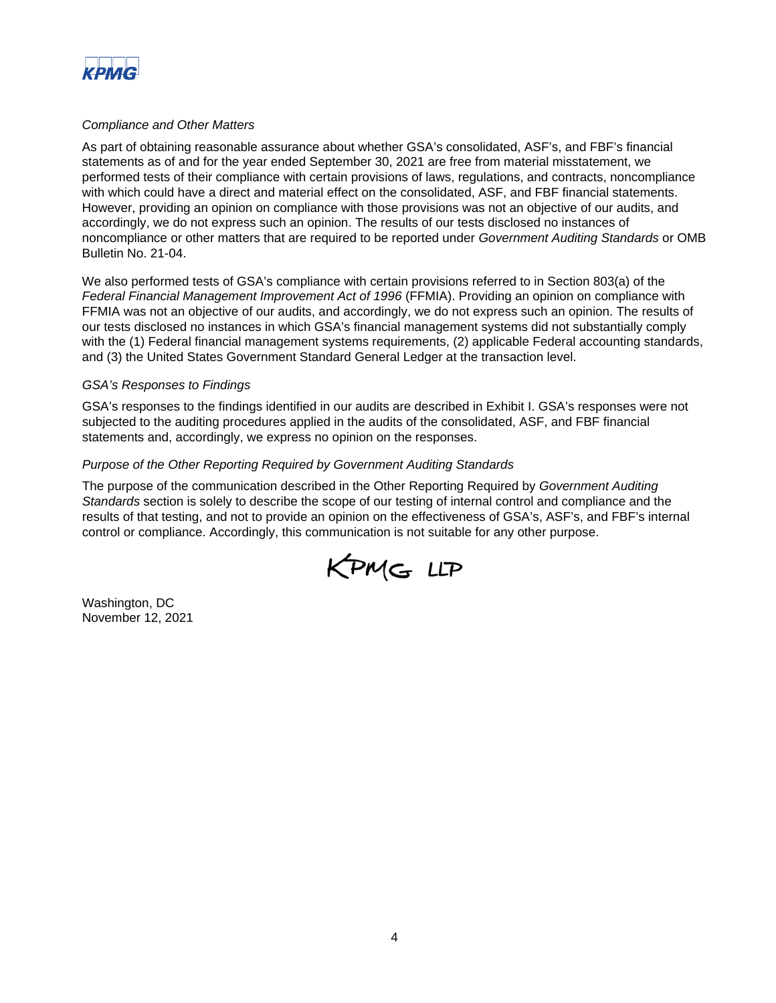

#### *Compliance and Other Matters*

As part of obtaining reasonable assurance about whether GSA's consolidated, ASF's, and FBF's financial statements as of and for the year ended September 30, 2021 are free from material misstatement, we performed tests of their compliance with certain provisions of laws, regulations, and contracts, noncompliance with which could have a direct and material effect on the consolidated, ASF, and FBF financial statements. However, providing an opinion on compliance with those provisions was not an objective of our audits, and accordingly, we do not express such an opinion. The results of our tests disclosed no instances of noncompliance or other matters that are required to be reported under *Government Auditing Standards* or OMB Bulletin No. 21-04.

We also performed tests of GSA's compliance with certain provisions referred to in Section 803(a) of the *Federal Financial Management Improvement Act of 1996* (FFMIA). Providing an opinion on compliance with FFMIA was not an objective of our audits, and accordingly, we do not express such an opinion. The results of our tests disclosed no instances in which GSA's financial management systems did not substantially comply with the (1) Federal financial management systems requirements, (2) applicable Federal accounting standards, and (3) the United States Government Standard General Ledger at the transaction level.

#### *GSA's Responses to Findings*

GSA's responses to the findings identified in our audits are described in Exhibit I. GSA's responses were not subjected to the auditing procedures applied in the audits of the consolidated, ASF, and FBF financial statements and, accordingly, we express no opinion on the responses.

### *Purpose of the Other Reporting Required by Government Auditing Standards*

The purpose of the communication described in the Other Reporting Required by *Government Auditing Standards* section is solely to describe the scope of our testing of internal control and compliance and the results of that testing, and not to provide an opinion on the effectiveness of GSA's, ASF's, and FBF's internal control or compliance. Accordingly, this communication is not suitable for any other purpose.



Washington, DC November 12, 2021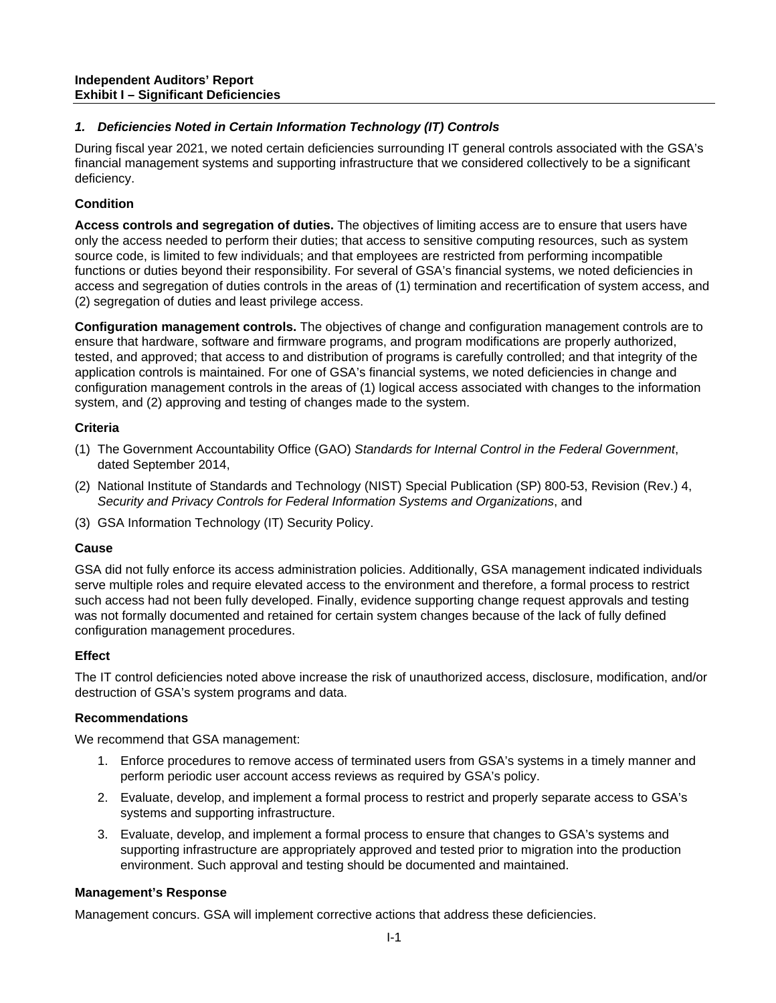# *1. Deficiencies Noted in Certain Information Technology (IT) Controls*

During fiscal year 2021, we noted certain deficiencies surrounding IT general controls associated with the GSA's financial management systems and supporting infrastructure that we considered collectively to be a significant deficiency.

## **Condition**

**Access controls and segregation of duties.** The objectives of limiting access are to ensure that users have only the access needed to perform their duties; that access to sensitive computing resources, such as system source code, is limited to few individuals; and that employees are restricted from performing incompatible functions or duties beyond their responsibility. For several of GSA's financial systems, we noted deficiencies in access and segregation of duties controls in the areas of (1) termination and recertification of system access, and (2) segregation of duties and least privilege access.

**Configuration management controls.** The objectives of change and configuration management controls are to ensure that hardware, software and firmware programs, and program modifications are properly authorized, tested, and approved; that access to and distribution of programs is carefully controlled; and that integrity of the application controls is maintained. For one of GSA's financial systems, we noted deficiencies in change and configuration management controls in the areas of (1) logical access associated with changes to the information system, and (2) approving and testing of changes made to the system.

## **Criteria**

- (1) The Government Accountability Office (GAO) *Standards for Internal Control in the Federal Government*, dated September 2014,
- (2) National Institute of Standards and Technology (NIST) Special Publication (SP) 800-53, Revision (Rev.) 4, *Security and Privacy Controls for Federal Information Systems and Organizations*, and
- (3) GSA Information Technology (IT) Security Policy.

## **Cause**

GSA did not fully enforce its access administration policies. Additionally, GSA management indicated individuals serve multiple roles and require elevated access to the environment and therefore, a formal process to restrict such access had not been fully developed. Finally, evidence supporting change request approvals and testing was not formally documented and retained for certain system changes because of the lack of fully defined configuration management procedures.

## **Effect**

The IT control deficiencies noted above increase the risk of unauthorized access, disclosure, modification, and/or destruction of GSA's system programs and data.

## **Recommendations**

We recommend that GSA management:

- 1. Enforce procedures to remove access of terminated users from GSA's systems in a timely manner and perform periodic user account access reviews as required by GSA's policy.
- 2. Evaluate, develop, and implement a formal process to restrict and properly separate access to GSA's systems and supporting infrastructure.
- 3. Evaluate, develop, and implement a formal process to ensure that changes to GSA's systems and supporting infrastructure are appropriately approved and tested prior to migration into the production environment. Such approval and testing should be documented and maintained.

## **Management's Response**

Management concurs. GSA will implement corrective actions that address these deficiencies.